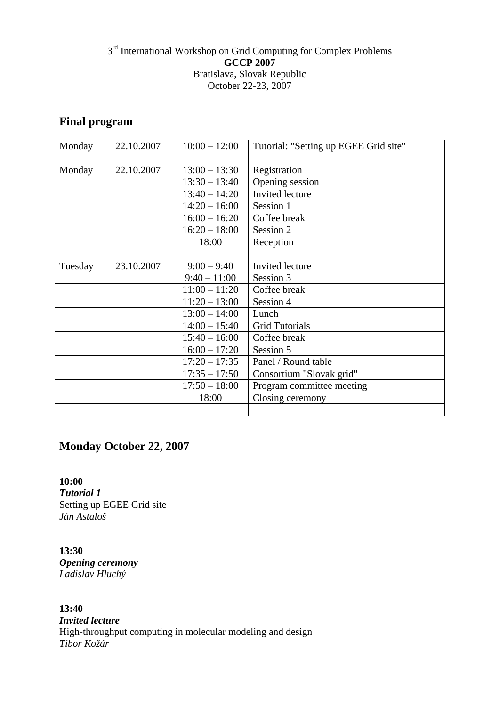## 3<sup>rd</sup> International Workshop on Grid Computing for Complex Problems **GCCP 2007**  Bratislava, Slovak Republic October 22-23, 2007

# **Final program**

| Monday  | 22.10.2007 | $10:00 - 12:00$ | Tutorial: "Setting up EGEE Grid site" |
|---------|------------|-----------------|---------------------------------------|
|         |            |                 |                                       |
| Monday  | 22.10.2007 | $13:00 - 13:30$ | Registration                          |
|         |            | $13:30 - 13:40$ | Opening session                       |
|         |            | $13:40 - 14:20$ | Invited lecture                       |
|         |            | $14:20 - 16:00$ | Session 1                             |
|         |            | $16:00 - 16:20$ | Coffee break                          |
|         |            | $16:20 - 18:00$ | Session 2                             |
|         |            | 18:00           | Reception                             |
|         |            |                 |                                       |
| Tuesday | 23.10.2007 | $9:00 - 9:40$   | <b>Invited</b> lecture                |
|         |            | $9:40 - 11:00$  | Session 3                             |
|         |            | $11:00 - 11:20$ | Coffee break                          |
|         |            | $11:20 - 13:00$ | Session 4                             |
|         |            | $13:00 - 14:00$ | Lunch                                 |
|         |            | $14:00 - 15:40$ | <b>Grid Tutorials</b>                 |
|         |            | $15:40 - 16:00$ | Coffee break                          |
|         |            | $16:00 - 17:20$ | Session 5                             |
|         |            | $17:20 - 17:35$ | Panel / Round table                   |
|         |            | $17:35 - 17:50$ | Consortium "Slovak grid"              |
|         |            | $17:50 - 18:00$ | Program committee meeting             |
|         |            | 18:00           | Closing ceremony                      |
|         |            |                 |                                       |

# **Monday October 22, 2007**

**10:00**  *Tutorial 1*  Setting up EGEE Grid site *Ján Astaloš* 

**13:30**  *Opening ceremony Ladislav Hluchý* 

**13:40**  *Invited lecture*  High-throughput computing in molecular modeling and design *Tibor Kožár*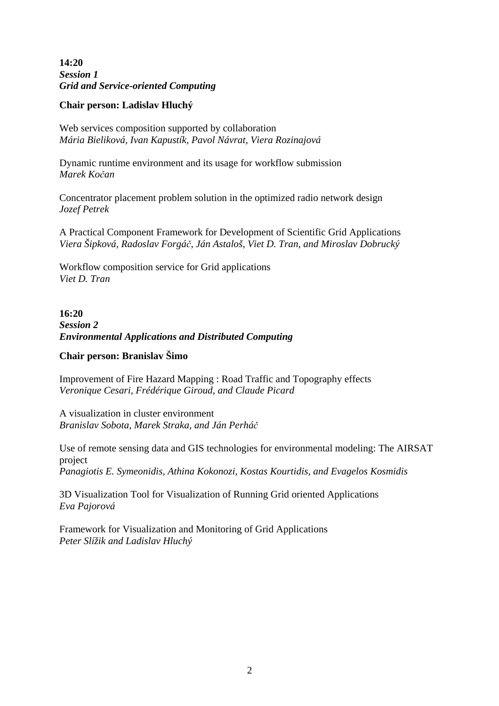**14:20**  *Session 1 Grid and Service-oriented Computing*

### **Chair person: Ladislav Hluchý**

Web services composition supported by collaboration *Mária Bieliková, Ivan Kapustík, Pavol Návrat, Viera Rozinajová*

Dynamic runtime environment and its usage for workflow submission *Marek Ko*č*an* 

Concentrator placement problem solution in the optimized radio network design *Jozef Petrek* 

A Practical Component Framework for Development of Scientific Grid Applications *Viera Šipková, Radoslav Forgá*č*, Ján Astaloš, Viet D. Tran, and Miroslav Dobrucký* 

Workflow composition service for Grid applications *Viet D. Tran* 

**16:20**  *Session 2 Environmental Applications and Distributed Computing*

### **Chair person: Branislav Šimo**

Improvement of Fire Hazard Mapping : Road Traffic and Topography effects *Veronique Cesari, Frédérique Giroud, and Claude Picard* 

A visualization in cluster environment *Branislav Sobota, Marek Straka, and Ján Perhá*č

Use of remote sensing data and GIS technologies for environmental modeling: The AIRSAT project *Panagiotis E. Symeonidis, Athina Kokonozi, Kostas Kourtidis, and Evagelos Kosmidis*

3D Visualization Tool for Visualization of Running Grid oriented Applications *Eva Pajorová*

Framework for Visualization and Monitoring of Grid Applications *Peter Slížik and Ladislav Hluchý*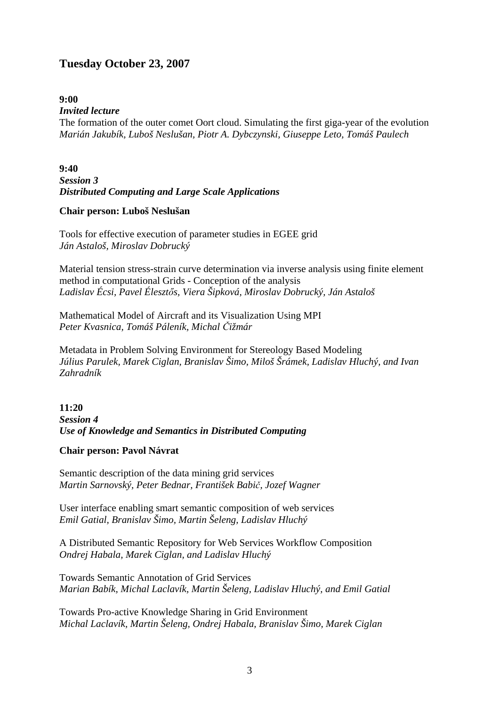# **Tuesday October 23, 2007**

#### **9:00**

#### *Invited lecture*

The formation of the outer comet Oort cloud. Simulating the first giga-year of the evolution *Marián Jakubík, Luboš Neslušan, Piotr A. Dybczynski, Giuseppe Leto, Tomáš Paulech* 

## **9:40**  *Session 3 Distributed Computing and Large Scale Applications*

#### **Chair person: Luboš Neslušan**

Tools for effective execution of parameter studies in EGEE grid *Ján Astaloš, Miroslav Dobrucký* 

Material tension stress-strain curve determination via inverse analysis using finite element method in computational Grids - Conception of the analysis *Ladislav Écsi, Pavel Éleszt*ő*s, Viera Šipková, Miroslav Dobrucký, Ján Astaloš* 

Mathematical Model of Aircraft and its Visualization Using MPI *Peter Kvasnica, Tomáš Páleník, Michal* Č*ižmár* 

Metadata in Problem Solving Environment for Stereology Based Modeling *Július Parulek, Marek Ciglan, Branislav Šimo, Miloš Šrámek, Ladislav Hluchý, and Ivan Zahradník* 

## **11:20**  *Session 4 Use of Knowledge and Semantics in Distributed Computing*

#### **Chair person: Pavol Návrat**

Semantic description of the data mining grid services *Martin Sarnovský, Peter Bednar, František Babi*č*, Jozef Wagner* 

User interface enabling smart semantic composition of web services *Emil Gatial, Branislav Šimo, Martin Šeleng, Ladislav Hluchý* 

A Distributed Semantic Repository for Web Services Workflow Composition *Ondrej Habala, Marek Ciglan, and Ladislav Hluchý* 

Towards Semantic Annotation of Grid Services *Marian Babík, Michal Laclavík, Martin Šeleng, Ladislav Hluchý, and Emil Gatial* 

Towards Pro-active Knowledge Sharing in Grid Environment *Michal Laclavík, Martin Šeleng, Ondrej Habala, Branislav Šimo, Marek Ciglan*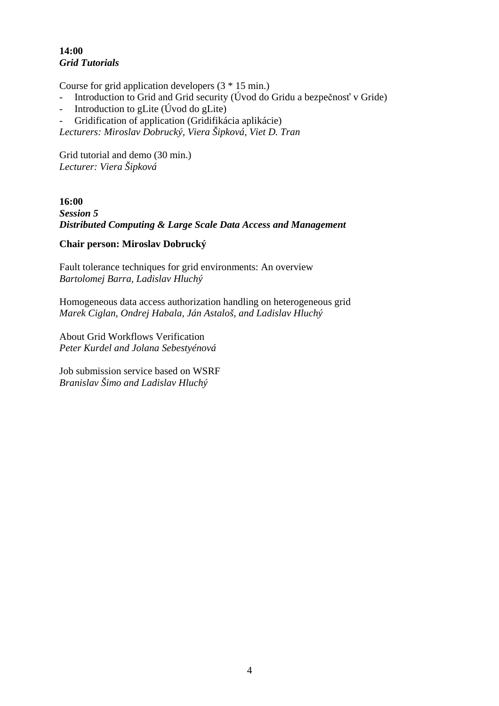# **14:00**  *Grid Tutorials*

Course for grid application developers (3 \* 15 min.)

- Introduction to Grid and Grid security (Úvod do Gridu a bezpečnosť v Gride)
- Introduction to gLite (Úvod do gLite)
- Gridification of application (Gridifikácia aplikácie)

*Lecturers: Miroslav Dobrucký, Viera Šipková, Viet D. Tran* 

Grid tutorial and demo (30 min.) *Lecturer: Viera Šipková* 

**16:00**  *Session 5 Distributed Computing & Large Scale Data Access and Management* 

### **Chair person: Miroslav Dobrucký**

Fault tolerance techniques for grid environments: An overview *Bartolomej Barra, Ladislav Hluchý*

Homogeneous data access authorization handling on heterogeneous grid *Marek Ciglan, Ondrej Habala, Ján Astaloš, and Ladislav Hluchý* 

About Grid Workflows Verification *Peter Kurdel and Jolana Sebestyénová* 

Job submission service based on WSRF *Branislav Šimo and Ladislav Hluchý*